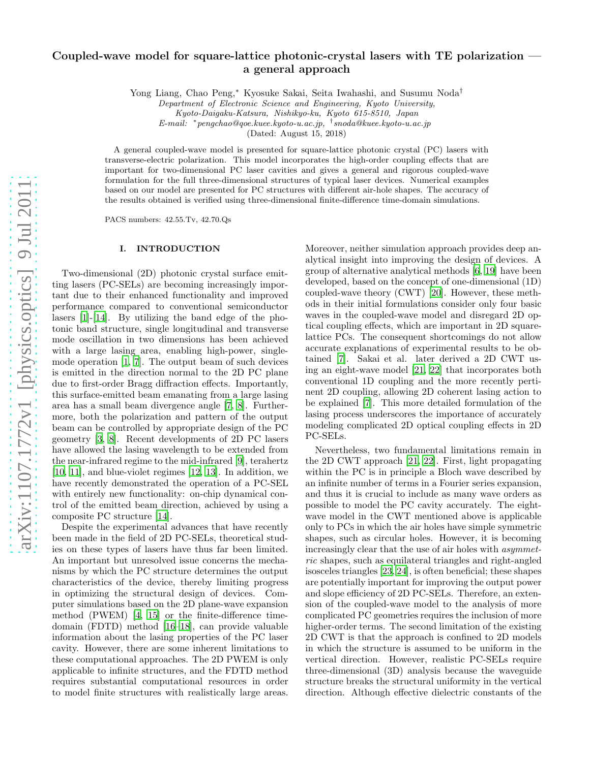# Coupled-wave model for square-lattice photonic-crystal lasers with TE polarization a general approach

Yong Liang, Chao Peng,∗ Kyosuke Sakai, Seita Iwahashi, and Susumu Noda†

*Department of Electronic Science and Engineering, Kyoto University,*

*Kyoto-Daigaku-Katsura, Nishikyo-ku, Kyoto 615-8510, Japan*

*E-mail:* <sup>∗</sup> *pengchao@qoe.kuee.kyoto-u.ac.jp,* † *snoda@kuee.kyoto-u.ac.jp*

(Dated: August 15, 2018)

A general coupled-wave model is presented for square-lattice photonic crystal (PC) lasers with transverse-electric polarization. This model incorporates the high-order coupling effects that are important for two-dimensional PC laser cavities and gives a general and rigorous coupled-wave formulation for the full three-dimensional structures of typical laser devices. Numerical examples based on our model are presented for PC structures with different air-hole shapes. The accuracy of the results obtained is verified using three-dimensional finite-difference time-domain simulations.

PACS numbers: 42.55.Tv, 42.70.Qs

## I. INTRODUCTION

Two-dimensional (2D) photonic crystal surface emitting lasers (PC-SELs) are becoming increasingly important due to their enhanced functionality and improved performance compared to conventional semiconductor lasers [\[1](#page-9-0)]-[\[14](#page-10-0)]. By utilizing the band edge of the photonic band structure, single longitudinal and transverse mode oscillation in two dimensions has been achieved with a large lasing area, enabling high-power, singlemode operation [\[1](#page-9-0), [7](#page-10-1)]. The output beam of such devices is emitted in the direction normal to the 2D PC plane due to first-order Bragg diffraction effects. Importantly, this surface-emitted beam emanating from a large lasing area has a small beam divergence angle [\[7](#page-10-1), [8\]](#page-10-2). Furthermore, both the polarization and pattern of the output beam can be controlled by appropriate design of the PC geometry [\[3](#page-9-1), [8](#page-10-2)]. Recent developments of 2D PC lasers have allowed the lasing wavelength to be extended from the near-infrared regime to the mid-infrared [\[9\]](#page-10-3), terahertz [\[10,](#page-10-4) [11\]](#page-10-5), and blue-violet regimes [\[12,](#page-10-6) [13\]](#page-10-7). In addition, we have recently demonstrated the operation of a PC-SEL with entirely new functionality: on-chip dynamical control of the emitted beam direction, achieved by using a composite PC structure [\[14\]](#page-10-0).

Despite the experimental advances that have recently been made in the field of 2D PC-SELs, theoretical studies on these types of lasers have thus far been limited. An important but unresolved issue concerns the mechanisms by which the PC structure determines the output characteristics of the device, thereby limiting progress in optimizing the structural design of devices. Computer simulations based on the 2D plane-wave expansion method (PWEM) [\[4,](#page-9-2) [15\]](#page-10-8) or the finite-difference timedomain (FDTD) method [\[16](#page-10-9)[–18\]](#page-10-10), can provide valuable information about the lasing properties of the PC laser cavity. However, there are some inherent limitations to these computational approaches. The 2D PWEM is only applicable to infinite structures, and the FDTD method requires substantial computational resources in order to model finite structures with realistically large areas.

Moreover, neither simulation approach provides deep analytical insight into improving the design of devices. A group of alternative analytical methods [\[6,](#page-10-11) [19\]](#page-10-12) have been developed, based on the concept of one-dimensional (1D) coupled-wave theory (CWT) [\[20\]](#page-10-13). However, these methods in their initial formulations consider only four basic waves in the coupled-wave model and disregard 2D optical coupling effects, which are important in 2D squarelattice PCs. The consequent shortcomings do not allow accurate explanations of experimental results to be obtained [\[7\]](#page-10-1). Sakai et al. later derived a 2D CWT using an eight-wave model [\[21](#page-10-14), [22](#page-10-15)] that incorporates both conventional 1D coupling and the more recently pertinent 2D coupling, allowing 2D coherent lasing action to be explained [\[7\]](#page-10-1). This more detailed formulation of the lasing process underscores the importance of accurately modeling complicated 2D optical coupling effects in 2D PC-SELs.

Nevertheless, two fundamental limitations remain in the 2D CWT approach [\[21,](#page-10-14) [22\]](#page-10-15). First, light propagating within the PC is in principle a Bloch wave described by an infinite number of terms in a Fourier series expansion, and thus it is crucial to include as many wave orders as possible to model the PC cavity accurately. The eightwave model in the CWT mentioned above is applicable only to PCs in which the air holes have simple symmetric shapes, such as circular holes. However, it is becoming increasingly clear that the use of air holes with asymmetric shapes, such as equilateral triangles and right-angled isosceles triangles [\[23](#page-10-16), [24\]](#page-10-17), is often beneficial; these shapes are potentially important for improving the output power and slope efficiency of 2D PC-SELs. Therefore, an extension of the coupled-wave model to the analysis of more complicated PC geometries requires the inclusion of more higher-order terms. The second limitation of the existing 2D CWT is that the approach is confined to 2D models in which the structure is assumed to be uniform in the vertical direction. However, realistic PC-SELs require three-dimensional (3D) analysis because the waveguide structure breaks the structural uniformity in the vertical direction. Although effective dielectric constants of the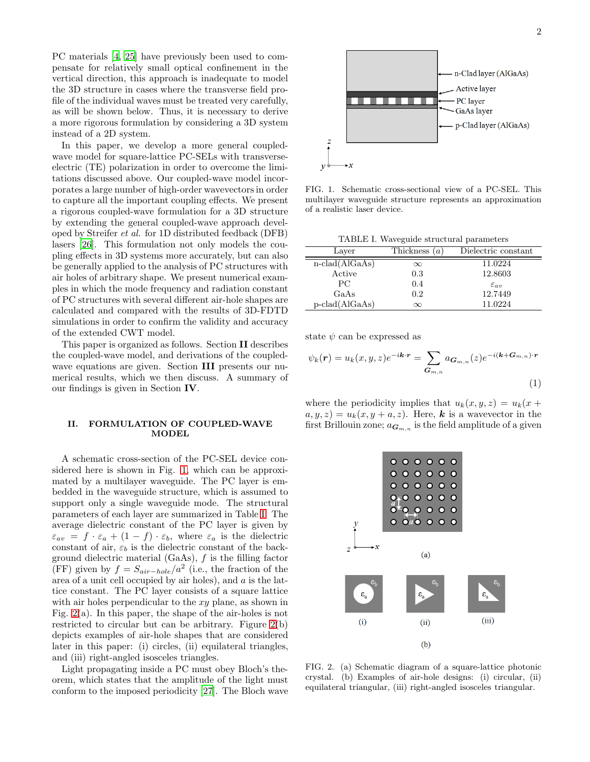PC materials [\[4](#page-9-2), [25\]](#page-10-18) have previously been used to compensate for relatively small optical confinement in the vertical direction, this approach is inadequate to model the 3D structure in cases where the transverse field profile of the individual waves must be treated very carefully, as will be shown below. Thus, it is necessary to derive a more rigorous formulation by considering a 3D system instead of a 2D system.

In this paper, we develop a more general coupledwave model for square-lattice PC-SELs with transverseelectric (TE) polarization in order to overcome the limitations discussed above. Our coupled-wave model incorporates a large number of high-order wavevectors in order to capture all the important coupling effects. We present a rigorous coupled-wave formulation for a 3D structure by extending the general coupled-wave approach developed by Streifer et al. for 1D distributed feedback (DFB) lasers [\[26](#page-10-19)]. This formulation not only models the coupling effects in 3D systems more accurately, but can also be generally applied to the analysis of PC structures with air holes of arbitrary shape. We present numerical examples in which the mode frequency and radiation constant of PC structures with several different air-hole shapes are calculated and compared with the results of 3D-FDTD simulations in order to confirm the validity and accuracy of the extended CWT model.

This paper is organized as follows. Section II describes the coupled-wave model, and derivations of the coupledwave equations are given. Section III presents our numerical results, which we then discuss. A summary of our findings is given in Section IV.

## II. FORMULATION OF COUPLED-WAVE **MODEL**

A schematic cross-section of the PC-SEL device considered here is shown in Fig. [1,](#page-1-0) which can be approximated by a multilayer waveguide. The PC layer is embedded in the waveguide structure, which is assumed to support only a single waveguide mode. The structural parameters of each layer are summarized in Table [I.](#page-1-1) The average dielectric constant of the PC layer is given by  $\varepsilon_{av} = f \cdot \varepsilon_a + (1 - f) \cdot \varepsilon_b$ , where  $\varepsilon_a$  is the dielectric constant of air,  $\varepsilon_b$  is the dielectric constant of the background dielectric material  $(GaAs)$ ,  $f$  is the filling factor (FF) given by  $f = S_{air-hole}/a^2$  (i.e., the fraction of the area of a unit cell occupied by air holes), and a is the lattice constant. The PC layer consists of a square lattice with air holes perpendicular to the  $xy$  plane, as shown in Fig. [2\(](#page-1-2)a). In this paper, the shape of the air-holes is not restricted to circular but can be arbitrary. Figure [2\(](#page-1-2)b) depicts examples of air-hole shapes that are considered later in this paper: (i) circles, (ii) equilateral triangles, and (iii) right-angled isosceles triangles.

Light propagating inside a PC must obey Bloch's theorem, which states that the amplitude of the light must conform to the imposed periodicity [\[27\]](#page-10-20). The Bloch wave



<span id="page-1-0"></span>FIG. 1. Schematic cross-sectional view of a PC-SEL. This multilayer waveguide structure represents an approximation of a realistic laser device.

<span id="page-1-1"></span>TABLE I. Waveguide structural parameters

| Laver                | Thickness $(a)$ | Dielectric constant |
|----------------------|-----------------|---------------------|
| n-clad(AlGaAs)       | $\infty$        | 11.0224             |
| Active               | 0.3             | 12.8603             |
| <b>PC</b>            | 0.4             | $\varepsilon_{av}$  |
| GaAs                 | 0.2             | 12.7449             |
| $p$ -clad $(AlGaAs)$ | $\infty$        | 11.0224             |

state  $\psi$  can be expressed as

<span id="page-1-3"></span>
$$
\psi_k(\mathbf{r}) = u_k(x, y, z)e^{-i\mathbf{k}\cdot\mathbf{r}} = \sum_{\mathbf{G}_{m,n}} a_{\mathbf{G}_{m,n}}(z)e^{-i(\mathbf{k} + \mathbf{G}_{m,n})\cdot\mathbf{r}}
$$
\n(1)

where the periodicity implies that  $u_k(x, y, z) = u_k(x + z)$  $a, y, z$  =  $u_k(x, y + a, z)$ . Here, **k** is a wavevector in the first Brillouin zone;  $a_{\mathbf{G}_{m,n}}$  is the field amplitude of a given



<span id="page-1-2"></span>FIG. 2. (a) Schematic diagram of a square-lattice photonic crystal. (b) Examples of air-hole designs: (i) circular, (ii) equilateral triangular, (iii) right-angled isosceles triangular.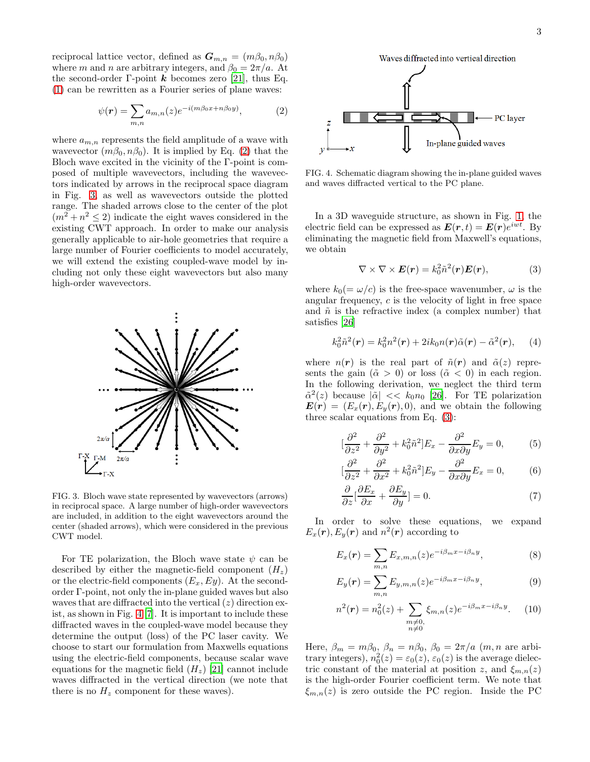reciprocal lattice vector, defined as  $G_{m,n} = (m\beta_0, n\beta_0)$ where m and n are arbitrary integers, and  $\beta_0 = 2\pi/a$ . At the second-order Γ-point  $k$  becomes zero [\[21\]](#page-10-14), thus Eq. [\(1\)](#page-1-3) can be rewritten as a Fourier series of plane waves:

<span id="page-2-0"></span>
$$
\psi(\mathbf{r}) = \sum_{m,n} a_{m,n}(z) e^{-i(m\beta_0 x + n\beta_0 y)},\tag{2}
$$

where  $a_{m,n}$  represents the field amplitude of a wave with wavevector  $(m\beta_0, n\beta_0)$ . It is implied by Eq. [\(2\)](#page-2-0) that the Bloch wave excited in the vicinity of the Γ-point is composed of multiple wavevectors, including the wavevectors indicated by arrows in the reciprocal space diagram in Fig. [3,](#page-2-1) as well as wavevectors outside the plotted range. The shaded arrows close to the center of the plot  $(m^2 + n^2 \leq 2)$  indicate the eight waves considered in the existing CWT approach. In order to make our analysis generally applicable to air-hole geometries that require a large number of Fourier coefficients to model accurately, we will extend the existing coupled-wave model by including not only these eight wavevectors but also many high-order wavevectors.



<span id="page-2-1"></span>FIG. 3. Bloch wave state represented by wavevectors (arrows) in reciprocal space. A large number of high-order wavevectors are included, in addition to the eight wavevectors around the center (shaded arrows), which were considered in the previous CWT model.

For TE polarization, the Bloch wave state  $\psi$  can be described by either the magnetic-field component  $(H_z)$ or the electric-field components  $(E_x, Ey)$ . At the secondorder Γ-point, not only the in-plane guided waves but also waves that are diffracted into the vertical  $(z)$  direction exist, as shown in Fig. [4](#page-2-2) [\[7\]](#page-10-1). It is important to include these diffracted waves in the coupled-wave model because they determine the output (loss) of the PC laser cavity. We choose to start our formulation from Maxwells equations using the electric-field components, because scalar wave equations for the magnetic field  $(H_z)$  [\[21\]](#page-10-14) cannot include waves diffracted in the vertical direction (we note that there is no  $H_z$  component for these waves).



<span id="page-2-2"></span>FIG. 4. Schematic diagram showing the in-plane guided waves and waves diffracted vertical to the PC plane.

In a 3D waveguide structure, as shown in Fig. [1,](#page-1-0) the electric field can be expressed as  $\mathbf{E}(\mathbf{r},t) = \mathbf{E}(\mathbf{r})e^{iwt}$ . By eliminating the magnetic field from Maxwell's equations, we obtain

<span id="page-2-3"></span>
$$
\nabla \times \nabla \times \boldsymbol{E}(\boldsymbol{r}) = k_0^2 \tilde{n}^2(\boldsymbol{r}) \boldsymbol{E}(\boldsymbol{r}), \tag{3}
$$

where  $k_0 (= \omega/c)$  is the free-space wavenumber,  $\omega$  is the angular frequency,  $c$  is the velocity of light in free space and  $\tilde{n}$  is the refractive index (a complex number) that satisfies [\[26\]](#page-10-19)

<span id="page-2-4"></span>
$$
k_0^2 \tilde{n}^2(\mathbf{r}) = k_0^2 n^2(\mathbf{r}) + 2ik_0 n(\mathbf{r}) \tilde{\alpha}(\mathbf{r}) - \tilde{\alpha}^2(\mathbf{r}), \quad (4)
$$

where  $n(r)$  is the real part of  $\tilde{n}(r)$  and  $\tilde{\alpha}(z)$  represents the gain  $({\tilde{\alpha}} > 0)$  or loss  $({\tilde{\alpha}} < 0)$  in each region. In the following derivation, we neglect the third term  $\tilde{\alpha}^2(z)$  because  $|\tilde{\alpha}| \ll k_0 n_0$  [\[26\]](#page-10-19). For TE polarization  $\mathbf{E}(\mathbf{r}) = (E_x(\mathbf{r}), E_y(\mathbf{r}), 0)$ , and we obtain the following three scalar equations from Eq. [\(3\)](#page-2-3):

<span id="page-2-6"></span>
$$
\left[\frac{\partial^2}{\partial z^2} + \frac{\partial^2}{\partial y^2} + k_0^2 \tilde{n}^2\right] E_x - \frac{\partial^2}{\partial x \partial y} E_y = 0, \tag{5}
$$

$$
\left[\frac{\partial^2}{\partial z^2} + \frac{\partial^2}{\partial x^2} + k_0^2 \tilde{n}^2\right] E_y - \frac{\partial^2}{\partial x \partial y} E_x = 0, \quad (6)
$$

$$
\frac{\partial}{\partial z} \left[ \frac{\partial E_x}{\partial x} + \frac{\partial E_y}{\partial y} \right] = 0. \tag{7}
$$

In order to solve these equations, we expand  $E_x(\mathbf{r}), E_y(\mathbf{r})$  and  $n^2(\mathbf{r})$  according to

∂z [

<span id="page-2-5"></span>
$$
E_x(\mathbf{r}) = \sum_{m,n} E_{x,m,n}(z) e^{-i\beta_m x - i\beta_n y}, \tag{8}
$$

$$
E_y(\mathbf{r}) = \sum_{m,n} E_{y,m,n}(z) e^{-i\beta_m x - i\beta_n y},\tag{9}
$$

$$
n^{2}(\mathbf{r}) = n_{0}^{2}(z) + \sum_{\substack{m \neq 0, \\ n \neq 0}} \xi_{m,n}(z) e^{-i\beta_{m}x - i\beta_{n}y}.
$$
 (10)

Here,  $\beta_m = m\beta_{0}$ ,  $\beta_n = n\beta_0$ ,  $\beta_0 = 2\pi/a$   $(m, n$  are arbitrary integers),  $n_0^2(z) = \varepsilon_0(z)$ ,  $\varepsilon_0(z)$  is the average dielectric constant of the material at position z, and  $\xi_{m,n}(z)$ is the high-order Fourier coefficient term. We note that  $\xi_{m,n}(z)$  is zero outside the PC region. Inside the PC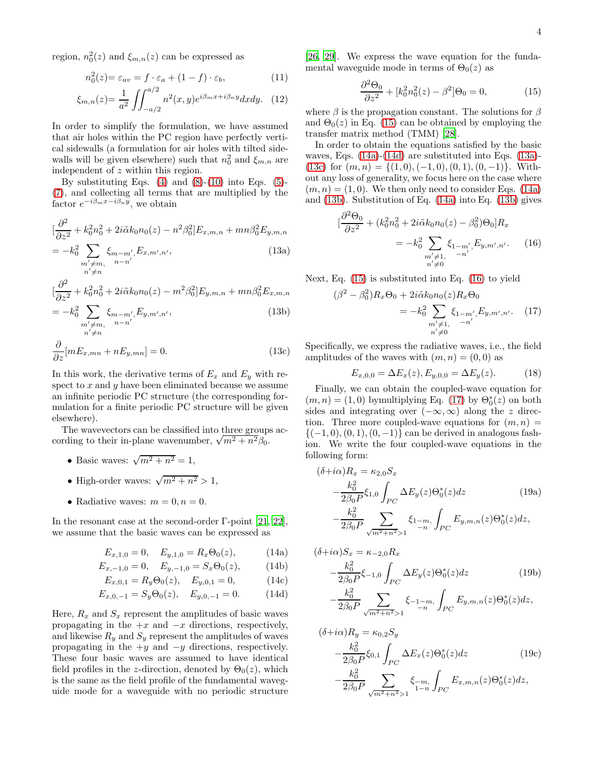region,  $n_0^2(z)$  and  $\xi_{m,n}(z)$  can be expressed as

$$
n_0^2(z) = \varepsilon_{av} = f \cdot \varepsilon_a + (1 - f) \cdot \varepsilon_b,\tag{11}
$$

$$
\xi_{m,n}(z) = \frac{1}{a^2} \iint_{-a/2}^{a/2} n^2(x,y) e^{i\beta_m x + i\beta_n y} dx dy. \tag{12}
$$

In order to simplify the formulation, we have assumed that air holes within the PC region have perfectly vertical sidewalls (a formulation for air holes with tilted sidewalls will be given elsewhere) such that  $n_0^2$  and  $\xi_{m,n}$  are independent of z within this region.

By substituting Eqs.  $(4)$  and  $(8)-(10)$  $(8)-(10)$  into Eqs.  $(5)-$ [\(7\)](#page-2-6), and collecting all terms that are multiplied by the factor  $e^{-i\beta_m x - i\beta_n y}$ , we obtain

<span id="page-3-2"></span>
$$
\left[\frac{\partial^2}{\partial z^2} + k_0^2 n_0^2 + 2i \tilde{\alpha} k_0 n_0(z) - n^2 \beta_0^2\right] E_{x,m,n} + mn \beta_0^2 E_{y,m,n}
$$
  
=  $-k_0^2 \sum_{\substack{m' \neq m, \\ n' \neq n}} \xi_{m-m'}, E_{x,m',n'},$  (13a)

$$
\left[\frac{\partial^2}{\partial z^2} + k_0^2 n_0^2 + 2i \tilde{\alpha} k_0 n_0(z) - m^2 \beta_0^2\right] E_{y,m,n} + mn \beta_0^2 E_{x,m,n}
$$
  
=  $-k_0^2 \sum_{m'+m} \xi_{m-m'} E_{y,m',n'}$ , (13b)

$$
m' \neq m, \quad n - n'
$$
  
\n
$$
m' \neq n
$$
  
\n
$$
\frac{\partial}{\partial z} [mE_{x,mn} + nE_{y,mn}] = 0.
$$
\n(13c)

In this work, the derivative terms of  $E_x$  and  $E_y$  with respect to  $x$  and  $y$  have been eliminated because we assume an infinite periodic PC structure (the corresponding formulation for a finite periodic PC structure will be given elsewhere).

The wavevectors can be classified into three groups according to their in-plane wavenumber,  $\sqrt{m^2 + n^2} \beta_0$ .

- Basic waves:  $\sqrt{m^2 + n^2} = 1$ ,
- High-order waves:  $\sqrt{m^2 + n^2} > 1$ ,
- Radiative waves:  $m = 0, n = 0$ .

In the resonant case at the second-order Γ-point [\[21,](#page-10-14) [22\]](#page-10-15), we assume that the basic waves can be expressed as

<span id="page-3-1"></span>
$$
E_{x,1,0} = 0, \quad E_{y,1,0} = R_x \Theta_0(z), \tag{14a}
$$

$$
E_{x,-1,0} = 0, \quad E_{y,-1,0} = S_x \Theta_0(z), \tag{14b}
$$

$$
E_{x,0,1} = R_y \Theta_0(z), \quad E_{y,0,1} = 0,
$$
 (14c)

$$
E_{x,0,-1} = S_y \Theta_0(z), \quad E_{y,0,-1} = 0. \tag{14d}
$$

Here,  $R_x$  and  $S_x$  represent the amplitudes of basic waves propagating in the  $+x$  and  $-x$  directions, respectively, and likewise  $R_y$  and  $S_y$  represent the amplitudes of waves propagating in the  $+y$  and  $-y$  directions, respectively. These four basic waves are assumed to have identical field profiles in the z-direction, denoted by  $\Theta_0(z)$ , which is the same as the field profile of the fundamental waveguide mode for a waveguide with no periodic structure [\[26,](#page-10-19) [29\]](#page-10-21). We express the wave equation for the fundamental waveguide mode in terms of  $\Theta_0(z)$  as

<span id="page-3-0"></span>
$$
\frac{\partial^2 \Theta_0}{\partial z^2} + [k_0^2 n_0^2(z) - \beta^2] \Theta_0 = 0, \tag{15}
$$

where  $\beta$  is the propagation constant. The solutions for  $\beta$ and  $\Theta_0(z)$  in Eq. [\(15\)](#page-3-0) can be obtained by employing the transfer matrix method (TMM) [\[28\]](#page-10-22).

In order to obtain the equations satisfied by the basic waves, Eqs. [\(14a\)](#page-3-1)-[\(14d\)](#page-3-1) are substituted into Eqs. [\(13a\)](#page-3-2)- [\(13c\)](#page-3-2) for  $(m, n) = \{(1, 0), (-1, 0), (0, 1), (0, -1)\}.$  Without any loss of generality, we focus here on the case where  $(m, n) = (1, 0)$ . We then only need to consider Eqs. [\(14a\)](#page-3-1) and [\(13b\)](#page-3-2). Substitution of Eq. [\(14a\)](#page-3-1) into Eq. [\(13b\)](#page-3-2) gives

$$
\frac{\partial^2 \Theta_0}{\partial z^2} + (k_0^2 n_0^2 + 2i \tilde{\alpha} k_0 n_0(z) - \beta_0^2) \Theta_0] R_x
$$
  
=  $-k_0^2 \sum_{\substack{m' \neq 1, \ n' \neq 0}} \xi_{1-m'}, E_{y,m',n'}.$  (16)

Next, Eq. [\(15\)](#page-3-0) is substituted into Eq. [\(16\)](#page-3-3) to yield

<span id="page-3-3"></span>[

<span id="page-3-4"></span>
$$
(\beta^2 - \beta_0^2) R_x \Theta_0 + 2i \tilde{\alpha} k_0 n_0(z) R_x \Theta_0
$$
  
=  $-k_0^2 \sum_{\substack{m' \neq 1,\\ n' \neq 0}} \xi_{1-m'} E_{y,m',n'}.$  (17)

Specifically, we express the radiative waves, i.e., the field amplitudes of the waves with  $(m, n) = (0, 0)$  as

$$
E_{x,0,0} = \Delta E_x(z), E_{y,0,0} = \Delta E_y(z). \tag{18}
$$

Finally, we can obtain the coupled-wave equation for  $(m, n) = (1, 0)$  by multiplying Eq. [\(17\)](#page-3-4) by  $\Theta_0^*(z)$  on both sides and integrating over  $(-\infty, \infty)$  along the z direction. Three more coupled-wave equations for  $(m, n)$  =  ${(-1, 0), (0, 1), (0, -1)}$  can be derived in analogous fashion. We write the four coupled-wave equations in the following form:

<span id="page-3-5"></span>
$$
(\delta + i\alpha)R_x = \kappa_{2,0}S_x
$$
  

$$
-\frac{k_0^2}{2\beta_0 P}\xi_{1,0}\int_{PC} \Delta E_y(z)\Theta_0^*(z)dz
$$
 (19a)  

$$
-\frac{k_0^2}{2\beta_0 P}\sum_{\sqrt{m^2 + n^2} > 1} \xi_{1-m,0}\int_{PC} E_{y,m,n}(z)\Theta_0^*(z)dz,
$$

$$
(\delta + i\alpha)S_x = \kappa_{-2,0}R_x
$$
  
\n
$$
-\frac{k_0^2}{2\beta_0 P}\xi_{-1,0} \int_{PC} \Delta E_y(z)\Theta_0^*(z)dz
$$
 (19b)  
\n
$$
-\frac{k_0^2}{2\beta_0 P}\sum_{\sqrt{m^2 + n^2} > 1} \xi_{-1-m,0} \int_{PC} E_{y,m,n}(z)\Theta_0^*(z)dz,
$$

$$
(\delta + i\alpha)R_y = \kappa_{0,2}S_y
$$
  

$$
-\frac{k_0^2}{2\beta_0 P}\xi_{0,1} \int_{PC} \Delta E_x(z)\Theta_0^*(z)dz
$$
 (19c)  

$$
-\frac{k_0^2}{2\beta_0 P}\sum_{\sqrt{m^2 + n^2} > 1} \xi_{-m} \int_{PC} E_{x,m,n}(z)\Theta_0^*(z)dz,
$$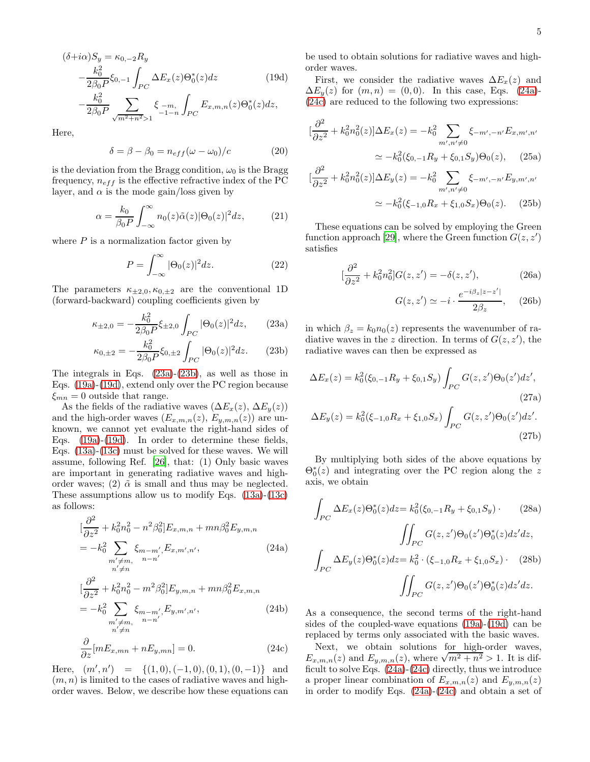<span id="page-4-1"></span>
$$
(\delta + i\alpha)S_y = \kappa_{0,-2}R_y
$$
  

$$
-\frac{k_0^2}{2\beta_0 P}\xi_{0,-1} \int_{PC} \Delta E_x(z)\Theta_0^*(z)dz
$$
 (19d)  

$$
k_0^2 \sum_{z=0}^{2\beta_0} \sum_{z=0}^{2\beta_0} \int_{C} E_{\alpha}(\alpha)\Theta_0^*(\alpha)dz
$$

$$
-\frac{\kappa_0^2}{2\beta_0 P}\sum_{\sqrt{m^2+n^2}>1}\xi_{-n-1}^{-m}\int_{P C}E_{x,m,n}(z)\Theta_0^*(z)dz,
$$

Here,

$$
\delta = \beta - \beta_0 = n_{eff}(\omega - \omega_0)/c \tag{20}
$$

is the deviation from the Bragg condition,  $\omega_0$  is the Bragg frequency,  $n_{eff}$  is the effective refractive index of the PC layer, and  $\alpha$  is the mode gain/loss given by

$$
\alpha = \frac{k_0}{\beta_0 P} \int_{-\infty}^{\infty} n_0(z) \tilde{\alpha}(z) |\Theta_0(z)|^2 dz, \qquad (21)
$$

where  $P$  is a normalization factor given by

$$
P = \int_{-\infty}^{\infty} |\Theta_0(z)|^2 dz.
$$
 (22)

The parameters  $\kappa_{\pm 2,0}, \kappa_{0,\pm 2}$  are the conventional 1D (forward-backward) coupling coefficients given by

<span id="page-4-0"></span>
$$
\kappa_{\pm 2,0} = -\frac{k_0^2}{2\beta_0 P} \xi_{\pm 2,0} \int_{PC} |\Theta_0(z)|^2 dz, \qquad (23a)
$$

$$
\kappa_{0,\pm 2} = -\frac{k_0^2}{2\beta_0 P} \xi_{0,\pm 2} \int_{PC} |\Theta_0(z)|^2 dz. \qquad (23b)
$$

The integrals in Eqs. [\(23a\)](#page-4-0)-[\(23b\)](#page-4-0), as well as those in Eqs. [\(19a\)](#page-3-5)-[\(19d\)](#page-4-1), extend only over the PC region because  $\xi_{mn} = 0$  outside that range.

As the fields of the radiative waves  $(\Delta E_x(z), \Delta E_y(z))$ and the high-order waves  $(E_{x,m,n}(z), E_{y,m,n}(z))$  are unknown, we cannot yet evaluate the right-hand sides of Eqs. [\(19a\)](#page-3-5)-[\(19d\)](#page-4-1). In order to determine these fields, Eqs. [\(13a\)](#page-3-2)-[\(13c\)](#page-3-2) must be solved for these waves. We will assume, following Ref. [\[26\]](#page-10-19), that: (1) Only basic waves are important in generating radiative waves and highorder waves; (2)  $\tilde{\alpha}$  is small and thus may be neglected. These assumptions allow us to modify Eqs. [\(13a\)](#page-3-2)-[\(13c\)](#page-3-2) as follows:

<span id="page-4-2"></span>
$$
\left[\frac{\partial^2}{\partial z^2} + k_0^2 n_0^2 - n^2 \beta_0^2\right] E_{x,m,n} + mn \beta_0^2 E_{y,m,n}
$$
  
\n
$$
= -k_0^2 \sum_{\substack{m' \neq m, \\ n' \neq n}} \xi_{m-m'} E_{x,m',n'},
$$
 (24a)  
\n
$$
\left[\frac{\partial^2}{\partial z^2} + k_0^2 n_0^2 - m^2 \beta_0^2\right] E_{y,m,n} + mn \beta_0^2 E_{x,m,n}
$$
  
\n
$$
= -k_0^2 \sum_{\substack{m' \neq m, \\ n' \neq n}} \xi_{m-m'} E_{y,m',n'},
$$
 (24b)

$$
\frac{\partial}{\partial z}[mE_{x,mn} + nE_{y,mn}] = 0.
$$
 (24c)

Here,  $(m', n') = \{(1, 0), (-1, 0), (0, 1), (0, -1)\}$  and  $(m, n)$  is limited to the cases of radiative waves and highorder waves. Below, we describe how these equations can

be used to obtain solutions for radiative waves and highorder waves.

First, we consider the radiative waves  $\Delta E_x(z)$  and  $\Delta E_y(z)$  for  $(m, n) = (0, 0)$ . In this case, Eqs. [\(24a\)](#page-4-2)-[\(24c\)](#page-4-2) are reduced to the following two expressions:

$$
[\frac{\partial^2}{\partial z^2} + k_0^2 n_0^2(z)]\Delta E_x(z) = -k_0^2 \sum_{m',n' \neq 0} \xi_{-m',-n'} E_{x,m',n'}
$$
  
\n
$$
\simeq -k_0^2 (\xi_{0,-1} R_y + \xi_{0,1} S_y) \Theta_0(z), \quad (25a)
$$
  
\n
$$
[\frac{\partial^2}{\partial z^2} + k_0^2 n_0^2(z)]\Delta E_y(z) = -k_0^2 \sum_{m',n' \neq 0} \xi_{-m',-n'} E_{y,m',n'}
$$
  
\n
$$
\simeq -k_0^2 (\xi_{-1,0} R_x + \xi_{1,0} S_x) \Theta_0(z). \quad (25b)
$$

These equations can be solved by employing the Green function approach [\[29\]](#page-10-21), where the Green function  $G(z, z')$ satisfies

$$
[\frac{\partial^2}{\partial z^2} + k_0^2 n_0^2] G(z, z') = -\delta(z, z'), \qquad (26a)
$$

<span id="page-4-4"></span>
$$
G(z, z') \simeq -i \cdot \frac{e^{-i\beta_z|z-z'|}}{2\beta_z}, \quad (26b)
$$

in which  $\beta_z = k_0 n_0(z)$  represents the wavenumber of radiative waves in the z direction. In terms of  $G(z, z')$ , the radiative waves can then be expressed as

$$
\Delta E_x(z) = k_0^2(\xi_{0,-1}R_y + \xi_{0,1}S_y) \int_{PC} G(z, z')\Theta_0(z')dz',
$$
\n(27a)

$$
\Delta E_y(z) = k_0^2 (\xi_{-1,0} R_x + \xi_{1,0} S_x) \int_{PC} G(z, z') \Theta_0(z') dz'.
$$
\n(27b)

By multiplying both sides of the above equations by  $\Theta_0^*(z)$  and integrating over the PC region along the z axis, we obtain

<span id="page-4-3"></span>
$$
\int_{PC} \Delta E_x(z) \Theta_0^*(z) dz = k_0^2 (\xi_{0,-1} R_y + \xi_{0,1} S_y) \cdot (28a)
$$
\n
$$
\iint_{PC} G(z, z') \Theta_0(z') \Theta_0^*(z) dz' dz,
$$
\n
$$
\int_{PC} \Delta E_y(z) \Theta_0^*(z) dz = k_0^2 \cdot (\xi_{-1,0} R_x + \xi_{1,0} S_x) \cdot (28b)
$$
\n
$$
\iint_{PC} G(z, z') \Theta_0(z') \Theta_0^*(z) dz' dz.
$$

As a consequence, the second terms of the right-hand sides of the coupled-wave equations [\(19a\)](#page-3-5)-[\(19d\)](#page-4-1) can be replaced by terms only associated with the basic waves.

Next, we obtain solutions for high-order waves,  $E_{x,m,n}(z)$  and  $E_{y,m,n}(z)$ , where  $\sqrt{m^2 + n^2} > 1$ . It is difficult to solve Eqs. [\(24a\)](#page-4-2)-[\(24c\)](#page-4-2) directly, thus we introduce a proper linear combination of  $E_{x,m,n}(z)$  and  $E_{y,m,n}(z)$ in order to modify Eqs. [\(24a\)](#page-4-2)-[\(24c\)](#page-4-2) and obtain a set of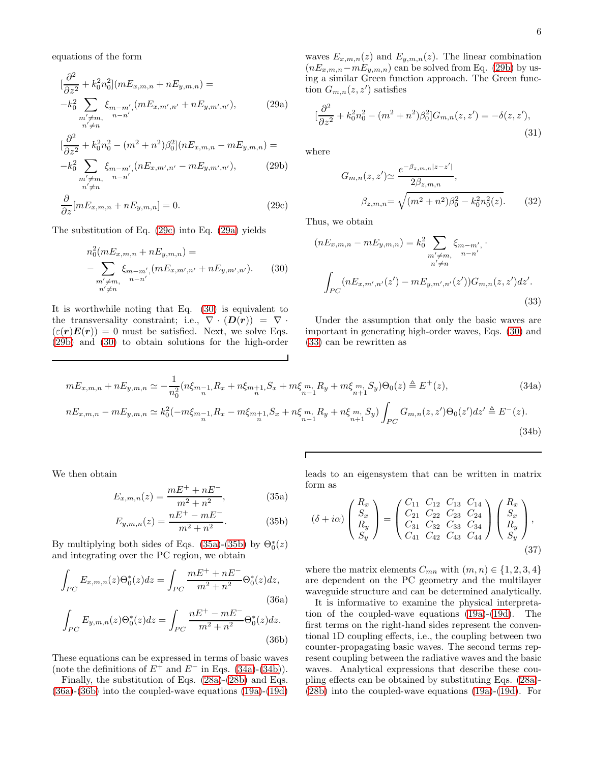equations of the form

<span id="page-5-0"></span>
$$
\left[\frac{\partial^2}{\partial z^2} + k_0^2 n_0^2\right](mE_{x,m,n} + nE_{y,m,n}) =
$$
  
\n
$$
-k_0^2 \sum_{\substack{m' \neq m, \\ n' \neq n}} \xi_{m-m'}(mE_{x,m',n'} + nE_{y,m',n'}),
$$
  
\n
$$
\left[\frac{\partial^2}{\partial z^2} + k_0^2 n_0^2 - (m^2 + n^2)\beta_0^2\right](nE_{x,m,n} - mE_{y,m,n}) =
$$
\n(29a)

$$
-k_0^2 \sum_{\substack{m' \neq m, \\ n' \neq n}} \xi_{m-m'} (nE_{x,m',n'} - mE_{y,m',n'}),
$$
 (29b)

$$
\frac{\partial}{\partial z}[mE_{x,m,n} + nE_{y,m,n}] = 0.
$$
\n(29c)

The substitution of Eq. [\(29c\)](#page-5-0) into Eq. [\(29a\)](#page-5-0) yields

<span id="page-5-1"></span>
$$
n_0^2(mE_{x,m,n} + nE_{y,m,n}) =
$$
  
- 
$$
\sum_{\substack{m' \neq m, \\ n' \neq n}} \xi_{m-m'}(mE_{x,m',n'} + nE_{y,m',n'}).
$$
 (30)

It is worthwhile noting that Eq. [\(30\)](#page-5-1) is equivalent to the transversality constraint; i.e.,  $\nabla \cdot (D(r)) = \nabla \cdot$  $(\varepsilon(\mathbf{r})\mathbf{E}(\mathbf{r})) = 0$  must be satisfied. Next, we solve Eqs. [\(29b\)](#page-5-0) and [\(30\)](#page-5-1) to obtain solutions for the high-order

waves  $E_{x,m,n}(z)$  and  $E_{y,m,n}(z)$ . The linear combination  $(nE_{x,m,n}-mE_{y,m,n})$  can be solved from Eq. [\(29b\)](#page-5-0) by using a similar Green function approach. The Green function  $G_{m,n}(z,z')$  satisfies

$$
\left[\frac{\partial^2}{\partial z^2} + k_0^2 n_0^2 - (m^2 + n^2)\beta_0^2\right]G_{m,n}(z, z') = -\delta(z, z'),\tag{31}
$$

where

<span id="page-5-7"></span>
$$
G_{m,n}(z,z') \simeq \frac{e^{-\beta_{z,m,n}|z-z'|}}{2\beta_{z,m,n}},
$$

$$
\beta_{z,m,n} = \sqrt{(m^2+n^2)\beta_0^2 - k_0^2 n_0^2(z)}.
$$
(32)

Thus, we obtain

<span id="page-5-2"></span>
$$
(nE_{x,m,n} - mE_{y,m,n}) = k_0^2 \sum_{\substack{m' \neq m, \\ n' \neq n}} \xi_{m-m'}.
$$

$$
\int_{PC} (nE_{x,m',n'}(z') - mE_{y,m',n'}(z'))G_{m,n}(z,z')dz'.
$$
(33)

Under the assumption that only the basic waves are important in generating high-order waves, Eqs. [\(30\)](#page-5-1) and [\(33\)](#page-5-2) can be rewritten as

<span id="page-5-4"></span>
$$
mE_{x,m,n} + nE_{y,m,n} \simeq -\frac{1}{n_0^2} (n\xi_{m-1,Rx} + n\xi_{m+1,Rx} + m\xi_{m-1,Ry} + m\xi_{m-1,Ry} + m\xi_{m+1,Ry})\Theta_0(z) \triangleq E^+(z),\tag{34a}
$$

$$
nE_{x,m,n} - mE_{y,m,n} \simeq k_0^2(-m\xi_{m-1}, R_x - m\xi_{m+1}, S_x + n\xi_{m-1}^m R_y + n\xi_{m-1}^m S_y) \int_{PC} G_{m,n}(z, z')\Theta_0(z')dz' \triangleq E^-(z). \tag{34b}
$$

Г

We then obtain

<span id="page-5-6"></span><span id="page-5-3"></span>
$$
E_{x,m,n}(z) = \frac{mE^+ + nE^-}{m^2 + n^2},
$$
\n(35a)

$$
E_{y,m,n}(z) = \frac{nE^+ - mE^-}{m^2 + n^2}.
$$
 (35b)

By multiplying both sides of Eqs. [\(35a\)](#page-5-3)-[\(35b\)](#page-5-3) by  $\Theta_0^*(z)$ and integrating over the PC region, we obtain

<span id="page-5-5"></span>
$$
\int_{PC} E_{x,m,n}(z)\Theta_0^*(z)dz = \int_{PC} \frac{mE^+ + nE^-}{m^2 + n^2} \Theta_0^*(z)dz,
$$
\n(36a)  
\n
$$
\int_{PC} E_{y,m,n}(z)\Theta_0^*(z)dz = \int_{PC} \frac{nE^+ - mE^-}{m^2 + n^2} \Theta_0^*(z)dz.
$$
\n(36b)

These equations can be expressed in terms of basic waves (note the definitions of  $E^+$  and  $E^-$  in Eqs. [\(34a\)](#page-5-4)-[\(34b\)](#page-5-4)).

Finally, the substitution of Eqs. [\(28a\)](#page-4-3)-[\(28b\)](#page-4-3) and Eqs. [\(36a\)](#page-5-5)-[\(36b\)](#page-5-5) into the coupled-wave equations [\(19a\)](#page-3-5)-[\(19d\)](#page-4-1) leads to an eigensystem that can be written in matrix form as

$$
(\delta + i\alpha) \begin{pmatrix} R_x \\ S_x \\ R_y \\ S_y \end{pmatrix} = \begin{pmatrix} C_{11} & C_{12} & C_{13} & C_{14} \\ C_{21} & C_{22} & C_{23} & C_{24} \\ C_{31} & C_{32} & C_{33} & C_{34} \\ C_{41} & C_{42} & C_{43} & C_{44} \end{pmatrix} \begin{pmatrix} R_x \\ S_x \\ R_y \\ S_y \end{pmatrix},
$$
\n(37)

where the matrix elements  $C_{mn}$  with  $(m, n) \in \{1, 2, 3, 4\}$ are dependent on the PC geometry and the multilayer waveguide structure and can be determined analytically.

It is informative to examine the physical interpretation of the coupled-wave equations [\(19a\)](#page-3-5)-[\(19d\)](#page-4-1). The first terms on the right-hand sides represent the conventional 1D coupling effects, i.e., the coupling between two counter-propagating basic waves. The second terms represent coupling between the radiative waves and the basic waves. Analytical expressions that describe these coupling effects can be obtained by substituting Eqs. [\(28a\)](#page-4-3)- [\(28b\)](#page-4-3) into the coupled-wave equations [\(19a\)](#page-3-5)-[\(19d\)](#page-4-1). For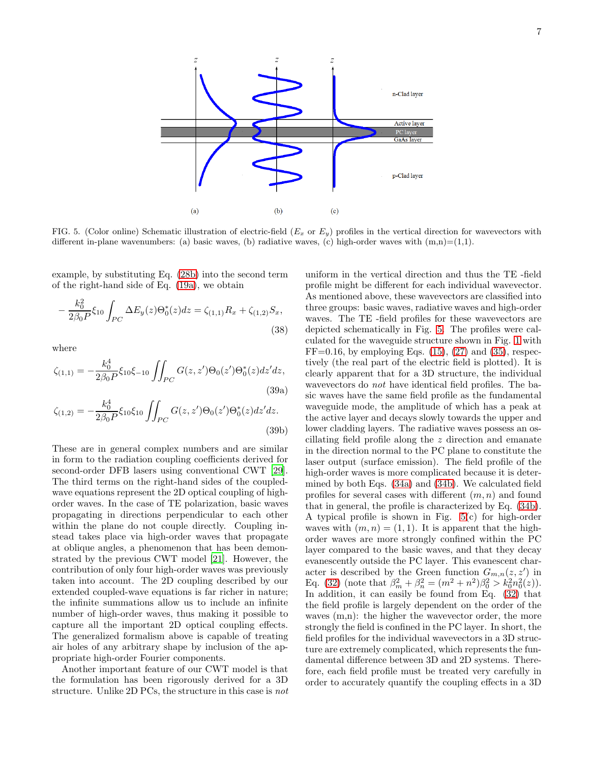

<span id="page-6-0"></span>FIG. 5. (Color online) Schematic illustration of electric-field  $(E_x$  or  $E_y$ ) profiles in the vertical direction for wavevectors with different in-plane wavenumbers: (a) basic waves, (b) radiative waves, (c) high-order waves with  $(m,n)=(1,1)$ .

example, by substituting Eq. [\(28b\)](#page-4-3) into the second term of the right-hand side of Eq. [\(19a\)](#page-3-5), we obtain

$$
-\frac{k_0^2}{2\beta_0 P}\xi_{10}\int_{PC} \Delta E_y(z)\Theta_0^*(z)dz = \zeta_{(1,1)}R_x + \zeta_{(1,2)}S_x,
$$
\n(38)

where

$$
\zeta_{(1,1)} = -\frac{k_0^4}{2\beta_0 P} \xi_{10} \xi_{-10} \iint_{PC} G(z, z') \Theta_0(z') \Theta_0^*(z) dz' dz,
$$
\n(39a)

$$
\zeta_{(1,2)} = -\frac{k_0^4}{2\beta_0 P} \xi_{10} \xi_{10} \iint_{PC} G(z, z') \Theta_0(z') \Theta_0^*(z) dz' dz.
$$
\n(39b)

These are in general complex numbers and are similar in form to the radiation coupling coefficients derived for second-order DFB lasers using conventional CWT [\[29\]](#page-10-21). The third terms on the right-hand sides of the coupledwave equations represent the 2D optical coupling of highorder waves. In the case of TE polarization, basic waves propagating in directions perpendicular to each other within the plane do not couple directly. Coupling instead takes place via high-order waves that propagate at oblique angles, a phenomenon that has been demonstrated by the previous CWT model [\[21\]](#page-10-14). However, the contribution of only four high-order waves was previously taken into account. The 2D coupling described by our extended coupled-wave equations is far richer in nature; the infinite summations allow us to include an infinite number of high-order waves, thus making it possible to capture all the important 2D optical coupling effects. The generalized formalism above is capable of treating air holes of any arbitrary shape by inclusion of the appropriate high-order Fourier components.

Another important feature of our CWT model is that the formulation has been rigorously derived for a 3D structure. Unlike 2D PCs, the structure in this case is not

uniform in the vertical direction and thus the TE -field profile might be different for each individual wavevector. As mentioned above, these wavevectors are classified into three groups: basic waves, radiative waves and high-order waves. The TE -field profiles for these wavevectors are depicted schematically in Fig. [5.](#page-6-0) The profiles were calculated for the waveguide structure shown in Fig. [1](#page-1-0) with  $FF=0.16$ , by employing Eqs.  $(15)$ ,  $(27)$  and  $(35)$ , respectively (the real part of the electric field is plotted). It is clearly apparent that for a 3D structure, the individual wavevectors do not have identical field profiles. The basic waves have the same field profile as the fundamental waveguide mode, the amplitude of which has a peak at the active layer and decays slowly towards the upper and lower cladding layers. The radiative waves possess an oscillating field profile along the z direction and emanate in the direction normal to the PC plane to constitute the laser output (surface emission). The field profile of the high-order waves is more complicated because it is determined by both Eqs. [\(34a\)](#page-5-4) and [\(34b\)](#page-5-4). We calculated field profiles for several cases with different  $(m, n)$  and found that in general, the profile is characterized by Eq. [\(34b\)](#page-5-4). A typical profile is shown in Fig. [5\(](#page-6-0)c) for high-order waves with  $(m, n) = (1, 1)$ . It is apparent that the highorder waves are more strongly confined within the PC layer compared to the basic waves, and that they decay evanescently outside the PC layer. This evanescent character is described by the Green function  $G_{m,n}(z, z')$  in Eq. [\(32\)](#page-5-7) (note that  $\beta_m^2 + \beta_n^2 = (m^2 + n^2)\beta_0^2 > k_0^2 n_0^2(z)$ ). In addition, it can easily be found from Eq. [\(32\)](#page-5-7) that the field profile is largely dependent on the order of the waves (m,n): the higher the wavevector order, the more strongly the field is confined in the PC layer. In short, the field profiles for the individual wavevectors in a 3D structure are extremely complicated, which represents the fundamental difference between 3D and 2D systems. Therefore, each field profile must be treated very carefully in order to accurately quantify the coupling effects in a 3D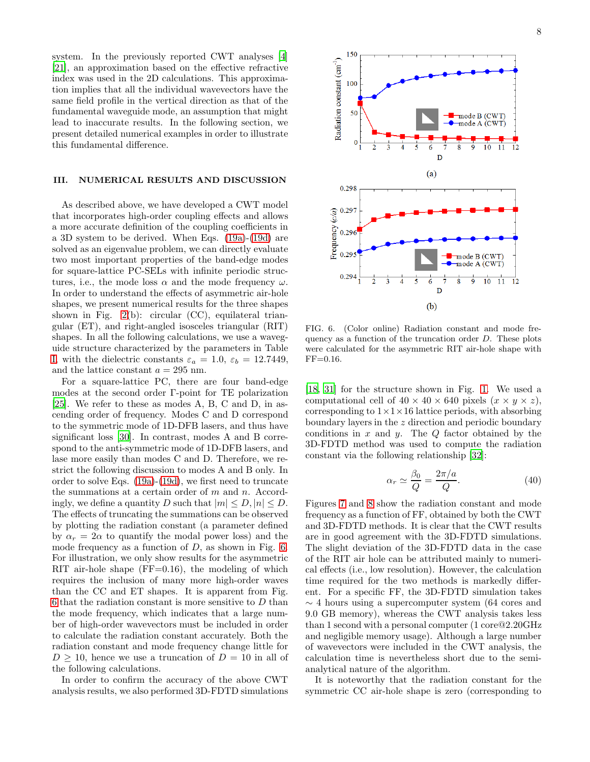system. In the previously reported CWT analyses [\[4](#page-9-2)] [\[21\]](#page-10-14), an approximation based on the effective refractive index was used in the 2D calculations. This approximation implies that all the individual wavevectors have the same field profile in the vertical direction as that of the fundamental waveguide mode, an assumption that might lead to inaccurate results. In the following section, we present detailed numerical examples in order to illustrate this fundamental difference.

## III. NUMERICAL RESULTS AND DISCUSSION

As described above, we have developed a CWT model that incorporates high-order coupling effects and allows a more accurate definition of the coupling coefficients in a 3D system to be derived. When Eqs. [\(19a\)](#page-3-5)-[\(19d\)](#page-4-1) are solved as an eigenvalue problem, we can directly evaluate two most important properties of the band-edge modes for square-lattice PC-SELs with infinite periodic structures, i.e., the mode loss  $\alpha$  and the mode frequency  $\omega$ . In order to understand the effects of asymmetric air-hole shapes, we present numerical results for the three shapes shown in Fig. [2\(](#page-1-2)b): circular (CC), equilateral triangular (ET), and right-angled isosceles triangular (RIT) shapes. In all the following calculations, we use a waveguide structure characterized by the parameters in Table [I,](#page-1-1) with the dielectric constants  $\varepsilon_a = 1.0, \varepsilon_b = 12.7449$ , and the lattice constant  $a = 295$  nm.

For a square-lattice PC, there are four band-edge modes at the second order Γ-point for TE polarization [\[25\]](#page-10-18). We refer to these as modes A, B, C and D, in ascending order of frequency. Modes C and D correspond to the symmetric mode of 1D-DFB lasers, and thus have significant loss [\[30](#page-10-23)]. In contrast, modes A and B correspond to the anti-symmetric mode of 1D-DFB lasers, and lase more easily than modes C and D. Therefore, we restrict the following discussion to modes A and B only. In order to solve Eqs. [\(19a\)](#page-3-5)-[\(19d\)](#page-4-1), we first need to truncate the summations at a certain order of  $m$  and  $n$ . Accordingly, we define a quantity D such that  $|m| \leq D, |n| \leq D$ . The effects of truncating the summations can be observed by plotting the radiation constant (a parameter defined by  $\alpha_r = 2\alpha$  to quantify the modal power loss) and the mode frequency as a function of  $D$ , as shown in Fig. [6.](#page-7-0) For illustration, we only show results for the asymmetric RIT air-hole shape  $(FF=0.16)$ , the modeling of which requires the inclusion of many more high-order waves than the CC and ET shapes. It is apparent from Fig. [6](#page-7-0) that the radiation constant is more sensitive to D than the mode frequency, which indicates that a large number of high-order wavevectors must be included in order to calculate the radiation constant accurately. Both the radiation constant and mode frequency change little for  $D \geq 10$ , hence we use a truncation of  $D = 10$  in all of the following calculations.

In order to confirm the accuracy of the above CWT analysis results, we also performed 3D-FDTD simulations



<span id="page-7-0"></span>FIG. 6. (Color online) Radiation constant and mode frequency as a function of the truncation order  $D$ . These plots were calculated for the asymmetric RIT air-hole shape with  $FF = 0.16$ .

[\[18,](#page-10-10) [31\]](#page-10-24) for the structure shown in Fig. [1.](#page-1-0) We used a computational cell of  $40 \times 40 \times 640$  pixels  $(x \times y \times z)$ , corresponding to  $1 \times 1 \times 16$  lattice periods, with absorbing boundary layers in the z direction and periodic boundary conditions in  $x$  and  $y$ . The  $Q$  factor obtained by the 3D-FDTD method was used to compute the radiation constant via the following relationship [\[32\]](#page-10-25):

$$
\alpha_r \simeq \frac{\beta_0}{Q} = \frac{2\pi/a}{Q}.\tag{40}
$$

Figures [7](#page-8-0) and [8](#page-8-1) show the radiation constant and mode frequency as a function of FF, obtained by both the CWT and 3D-FDTD methods. It is clear that the CWT results are in good agreement with the 3D-FDTD simulations. The slight deviation of the 3D-FDTD data in the case of the RIT air hole can be attributed mainly to numerical effects (i.e., low resolution). However, the calculation time required for the two methods is markedly different. For a specific FF, the 3D-FDTD simulation takes  $\sim$  4 hours using a supercomputer system (64 cores and 9.0 GB memory), whereas the CWT analysis takes less than 1 second with a personal computer (1 core@2.20GHz and negligible memory usage). Although a large number of wavevectors were included in the CWT analysis, the calculation time is nevertheless short due to the semianalytical nature of the algorithm.

It is noteworthy that the radiation constant for the symmetric CC air-hole shape is zero (corresponding to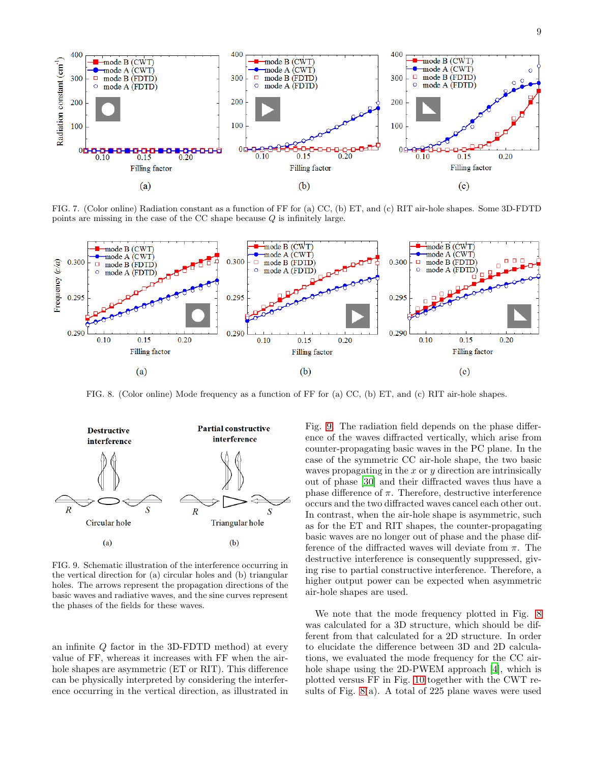

<span id="page-8-0"></span>FIG. 7. (Color online) Radiation constant as a function of FF for (a) CC, (b) ET, and (c) RIT air-hole shapes. Some 3D-FDTD points are missing in the case of the CC shape because Q is infinitely large.



<span id="page-8-1"></span>FIG. 8. (Color online) Mode frequency as a function of FF for (a) CC, (b) ET, and (c) RIT air-hole shapes.



<span id="page-8-2"></span>FIG. 9. Schematic illustration of the interference occurring in the vertical direction for (a) circular holes and (b) triangular holes. The arrows represent the propagation directions of the basic waves and radiative waves, and the sine curves represent the phases of the fields for these waves.

an infinite Q factor in the 3D-FDTD method) at every value of FF, whereas it increases with FF when the airhole shapes are asymmetric (ET or RIT). This difference can be physically interpreted by considering the interference occurring in the vertical direction, as illustrated in Fig. [9.](#page-8-2) The radiation field depends on the phase difference of the waves diffracted vertically, which arise from counter-propagating basic waves in the PC plane. In the case of the symmetric CC air-hole shape, the two basic waves propagating in the  $x$  or  $y$  direction are intrinsically out of phase [\[30\]](#page-10-23) and their diffracted waves thus have a phase difference of  $π$ . Therefore, destructive interference occurs and the two diffracted waves cancel each other out. In contrast, when the air-hole shape is asymmetric, such as for the ET and RIT shapes, the counter-propagating basic waves are no longer out of phase and the phase difference of the diffracted waves will deviate from  $\pi$ . The destructive interference is consequently suppressed, giving rise to partial constructive interference. Therefore, a higher output power can be expected when asymmetric air-hole shapes are used.

We note that the mode frequency plotted in Fig. [8](#page-8-1) was calculated for a 3D structure, which should be different from that calculated for a 2D structure. In order to elucidate the difference between 3D and 2D calculations, we evaluated the mode frequency for the CC airhole shape using the 2D-PWEM approach [\[4](#page-9-2)], which is plotted versus FF in Fig. [10](#page-9-3) together with the CWT results of Fig. [8\(](#page-8-1)a). A total of 225 plane waves were used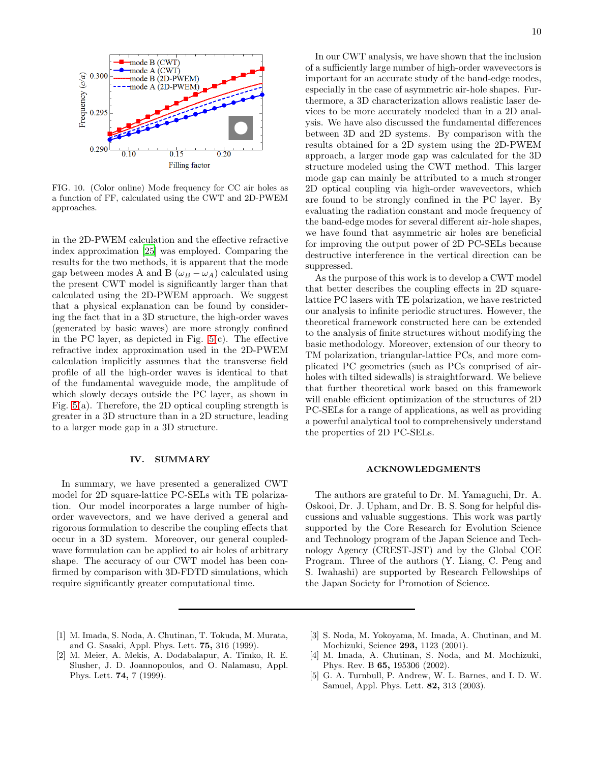

<span id="page-9-3"></span>FIG. 10. (Color online) Mode frequency for CC air holes as a function of FF, calculated using the CWT and 2D-PWEM approaches.

in the 2D-PWEM calculation and the effective refractive index approximation [\[25](#page-10-18)] was employed. Comparing the results for the two methods, it is apparent that the mode gap between modes A and B  $(\omega_B - \omega_A)$  calculated using the present CWT model is significantly larger than that calculated using the 2D-PWEM approach. We suggest that a physical explanation can be found by considering the fact that in a 3D structure, the high-order waves (generated by basic waves) are more strongly confined in the PC layer, as depicted in Fig.  $5(c)$ . The effective refractive index approximation used in the 2D-PWEM calculation implicitly assumes that the transverse field profile of all the high-order waves is identical to that of the fundamental waveguide mode, the amplitude of which slowly decays outside the PC layer, as shown in Fig. [5\(](#page-6-0)a). Therefore, the 2D optical coupling strength is greater in a 3D structure than in a 2D structure, leading to a larger mode gap in a 3D structure.

### IV. SUMMARY

In summary, we have presented a generalized CWT model for 2D square-lattice PC-SELs with TE polarization. Our model incorporates a large number of highorder wavevectors, and we have derived a general and rigorous formulation to describe the coupling effects that occur in a 3D system. Moreover, our general coupledwave formulation can be applied to air holes of arbitrary shape. The accuracy of our CWT model has been confirmed by comparison with 3D-FDTD simulations, which require significantly greater computational time.

In our CWT analysis, we have shown that the inclusion of a sufficiently large number of high-order wavevectors is important for an accurate study of the band-edge modes, especially in the case of asymmetric air-hole shapes. Furthermore, a 3D characterization allows realistic laser devices to be more accurately modeled than in a 2D analysis. We have also discussed the fundamental differences between 3D and 2D systems. By comparison with the results obtained for a 2D system using the 2D-PWEM approach, a larger mode gap was calculated for the 3D structure modeled using the CWT method. This larger mode gap can mainly be attributed to a much stronger 2D optical coupling via high-order wavevectors, which are found to be strongly confined in the PC layer. By evaluating the radiation constant and mode frequency of the band-edge modes for several different air-hole shapes, we have found that asymmetric air holes are beneficial for improving the output power of 2D PC-SELs because destructive interference in the vertical direction can be suppressed.

As the purpose of this work is to develop a CWT model that better describes the coupling effects in 2D squarelattice PC lasers with TE polarization, we have restricted our analysis to infinite periodic structures. However, the theoretical framework constructed here can be extended to the analysis of finite structures without modifying the basic methodology. Moreover, extension of our theory to TM polarization, triangular-lattice PCs, and more complicated PC geometries (such as PCs comprised of airholes with tilted sidewalls) is straightforward. We believe that further theoretical work based on this framework will enable efficient optimization of the structures of 2D PC-SELs for a range of applications, as well as providing a powerful analytical tool to comprehensively understand the properties of 2D PC-SELs.

### ACKNOWLEDGMENTS

The authors are grateful to Dr. M. Yamaguchi, Dr. A. Oskooi, Dr. J. Upham, and Dr. B. S. Song for helpful discussions and valuable suggestions. This work was partly supported by the Core Research for Evolution Science and Technology program of the Japan Science and Technology Agency (CREST-JST) and by the Global COE Program. Three of the authors (Y. Liang, C. Peng and S. Iwahashi) are supported by Research Fellowships of the Japan Society for Promotion of Science.

- <span id="page-9-0"></span>[1] M. Imada, S. Noda, A. Chutinan, T. Tokuda, M. Murata, and G. Sasaki, Appl. Phys. Lett. 75, 316 (1999).
- [2] M. Meier, A. Mekis, A. Dodabalapur, A. Timko, R. E. Slusher, J. D. Joannopoulos, and O. Nalamasu, Appl. Phys. Lett. 74, 7 (1999).
- <span id="page-9-1"></span>[3] S. Noda, M. Yokoyama, M. Imada, A. Chutinan, and M. Mochizuki, Science 293, 1123 (2001).
- <span id="page-9-2"></span>[4] M. Imada, A. Chutinan, S. Noda, and M. Mochizuki, Phys. Rev. B 65, 195306 (2002).
- [5] G. A. Turnbull, P. Andrew, W. L. Barnes, and I. D. W. Samuel, Appl. Phys. Lett. 82, 313 (2003).